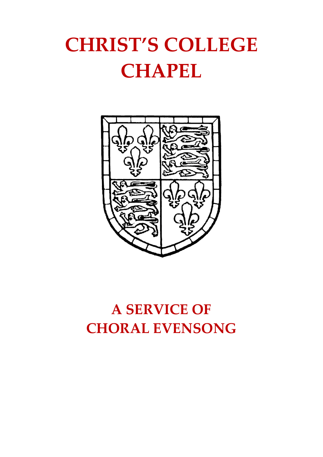# **CHRIST'S COLLEGE CHAPEL**



# **A SERVICE OF CHORAL EVENSONG**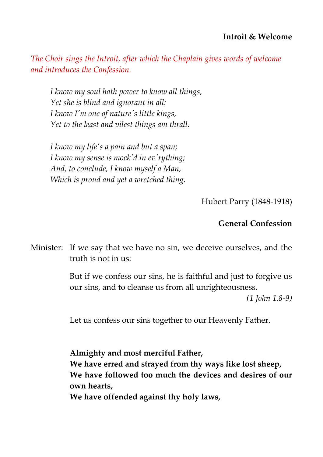*The Choir sings the Introit, after which the Chaplain gives words of welcome and introduces the Confession.*

*I know my soul hath power to know all things, Yet she is blind and ignorant in all: I know I'm one of nature's little kings, Yet to the least and vilest things am thrall.* 

*I know my life's a pain and but a span; I know my sense is mock'd in ev'rything; And, to conclude, I know myself a Man, Which is proud and yet a wretched thing.*

Hubert Parry (1848-1918)

### **General Confession**

Minister: If we say that we have no sin, we deceive ourselves, and the truth is not in us:

> But if we confess our sins, he is faithful and just to forgive us our sins, and to cleanse us from all unrighteousness.

> > *(1 John 1.8-9)*

Let us confess our sins together to our Heavenly Father.

**Almighty and most merciful Father, We have erred and strayed from thy ways like lost sheep, We have followed too much the devices and desires of our own hearts, We have offended against thy holy laws,**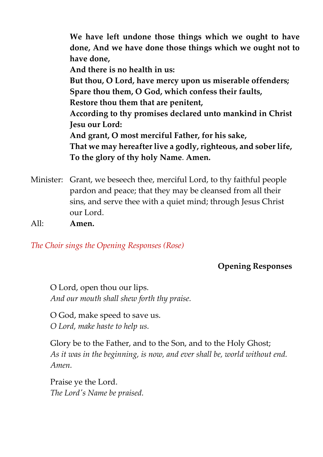**We have left undone those things which we ought to have done, And we have done those things which we ought not to have done, And there is no health in us: But thou, O Lord, have mercy upon us miserable offenders; Spare thou them, O God, which confess their faults, Restore thou them that are penitent, According to thy promises declared unto mankind in Christ Jesu our Lord: And grant, O most merciful Father, for his sake, That we may hereafter live a godly, righteous, and sober life, To the glory of thy holy Name**. **Amen.**

- Minister: Grant, we beseech thee, merciful Lord, to thy faithful people pardon and peace; that they may be cleansed from all their sins, and serve thee with a quiet mind; through Jesus Christ our Lord.
- All: **Amen.**

*The Choir sings the Opening Responses (Rose)*

**Opening Responses**

O Lord, open thou our lips. *And our mouth shall shew forth thy praise.*

O God, make speed to save us. *O Lord, make haste to help us.*

Glory be to the Father, and to the Son, and to the Holy Ghost; *As it was in the beginning, is now, and ever shall be, world without end. Amen.*

Praise ye the Lord. *The Lord's Name be praised.*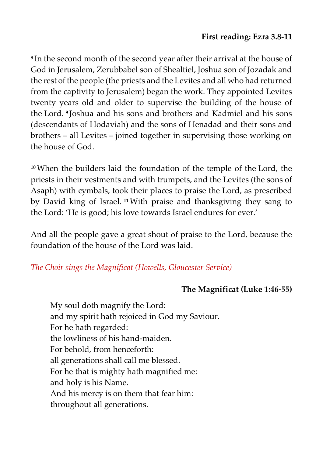**8** In the second month of the second year after their arrival at the house of God in Jerusalem, Zerubbabel son of Shealtiel, Joshua son of Jozadak and the rest of the people (the priests and the Levites and all who had returned from the captivity to Jerusalem) began the work. They appointed Levites twenty years old and older to supervise the building of the house of the Lord. **9** Joshua and his sons and brothers and Kadmiel and his sons (descendants of Hodaviah) and the sons of Henadad and their sons and brothers – all Levites – joined together in supervising those working on the house of God.

**<sup>10</sup>**When the builders laid the foundation of the temple of the Lord, the priests in their vestments and with trumpets, and the Levites (the sons of Asaph) with cymbals, took their places to praise the Lord, as prescribed by David king of Israel. **<sup>11</sup>**With praise and thanksgiving they sang to the Lord: 'He is good; his love towards Israel endures for ever.'

And all the people gave a great shout of praise to the Lord, because the foundation of the house of the Lord was laid.

# *The Choir sings the Magnificat (Howells, Gloucester Service)*

# **The Magnificat (Luke 1:46-55)**

My soul doth magnify the Lord: and my spirit hath rejoiced in God my Saviour. For he hath regarded: the lowliness of his hand-maiden. For behold, from henceforth: all generations shall call me blessed. For he that is mighty hath magnified me: and holy is his Name. And his mercy is on them that fear him: throughout all generations.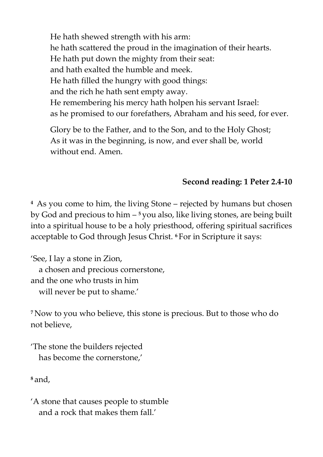He hath shewed strength with his arm: he hath scattered the proud in the imagination of their hearts. He hath put down the mighty from their seat: and hath exalted the humble and meek. He hath filled the hungry with good things: and the rich he hath sent empty away. He remembering his mercy hath holpen his servant Israel: as he promised to our forefathers, Abraham and his seed, for ever.

Glory be to the Father, and to the Son, and to the Holy Ghost; As it was in the beginning, is now, and ever shall be, world without end. Amen.

# **Second reading: 1 Peter 2.4-10**

**<sup>4</sup>** As you come to him, the living Stone – rejected by humans but chosen by God and precious to him – <sup>5</sup> you also, like living stones, are being built into a spiritual house to be a holy priesthood, offering spiritual sacrifices acceptable to God through Jesus Christ. **<sup>6</sup>** For in Scripture it says:

'See, I lay a stone in Zion, a chosen and precious cornerstone, and the one who trusts in him will never be put to shame.'

**<sup>7</sup>** Now to you who believe, this stone is precious. But to those who do not believe,

'The stone the builders rejected has become the cornerstone,'

**<sup>8</sup>** and,

'A stone that causes people to stumble and a rock that makes them fall.'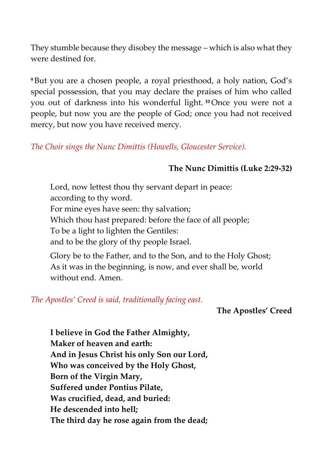They stumble because they disobey the message – which is also what they were destined for.

**<sup>9</sup>** But you are a chosen people, a royal priesthood, a holy nation, God's special possession, that you may declare the praises of him who called you out of darkness into his wonderful light. **<sup>10</sup>**Once you were not a people, but now you are the people of God; once you had not received mercy, but now you have received mercy.

*The Choir sings the Nunc Dimittis (Howells, Gloucester Service).*

# **The Nunc Dimittis (Luke 2:29-32)**

Lord, now lettest thou thy servant depart in peace: according to thy word.

For mine eyes have seen: thy salvation;

Which thou hast prepared: before the face of all people;

To be a light to lighten the Gentiles:

and to be the glory of thy people Israel.

Glory be to the Father, and to the Son, and to the Holy Ghost; As it was in the beginning, is now, and ever shall be, world without end. Amen.

*The Apostles' Creed is said, traditionally facing east.*

**The Apostles' Creed**

**I believe in God the Father Almighty, Maker of heaven and earth: And in Jesus Christ his only Son our Lord, Who was conceived by the Holy Ghost, Born of the Virgin Mary, Suffered under Pontius Pilate, Was crucified, dead, and buried: He descended into hell; The third day he rose again from the dead;**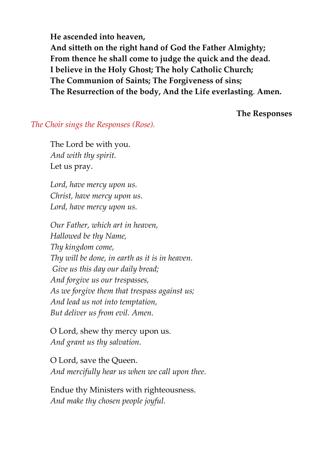**He ascended into heaven, And sitteth on the right hand of God the Father Almighty; From thence he shall come to judge the quick and the dead. I believe in the Holy Ghost; The holy Catholic Church; The Communion of Saints; The Forgiveness of sins; The Resurrection of the body, And the Life everlasting**. **Amen.**

**The Responses** 

#### *The Choir sings the Responses (Rose).*

The Lord be with you. *And with thy spirit.* Let us pray.

*Lord, have mercy upon us. Christ, have mercy upon us. Lord, have mercy upon us.*

*Our Father, which art in heaven, Hallowed be thy Name, Thy kingdom come, Thy will be done, in earth as it is in heaven. Give us this day our daily bread; And forgive us our trespasses, As we forgive them that trespass against us; And lead us not into temptation, But deliver us from evil. Amen.*

O Lord, shew thy mercy upon us. *And grant us thy salvation.*

O Lord, save the Queen. *And mercifully hear us when we call upon thee.*

Endue thy Ministers with righteousness. *And make thy chosen people joyful.*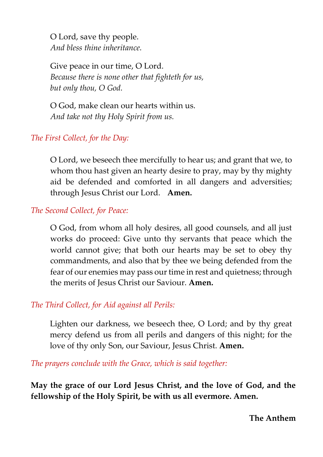O Lord, save thy people. *And bless thine inheritance.*

Give peace in our time, O Lord. *Because there is none other that fighteth for us, but only thou, O God.*

O God, make clean our hearts within us. *And take not thy Holy Spirit from us.*

# *The First Collect, for the Day:*

O Lord, we beseech thee mercifully to hear us; and grant that we, to whom thou hast given an hearty desire to pray, may by thy mighty aid be defended and comforted in all dangers and adversities; through Jesus Christ our Lord. **Amen.**

#### *The Second Collect, for Peace:*

O God, from whom all holy desires, all good counsels, and all just works do proceed: Give unto thy servants that peace which the world cannot give; that both our hearts may be set to obey thy commandments, and also that by thee we being defended from the fear of our enemies may pass our time in rest and quietness; through the merits of Jesus Christ our Saviour. **Amen.** 

#### *The Third Collect, for Aid against all Perils:*

Lighten our darkness, we beseech thee, O Lord; and by thy great mercy defend us from all perils and dangers of this night; for the love of thy only Son, our Saviour, Jesus Christ. **Amen.**

*The prayers conclude with the Grace, which is said together:*

**May the grace of our Lord Jesus Christ, and the love of God, and the fellowship of the Holy Spirit, be with us all evermore. Amen.** 

**The Anthem**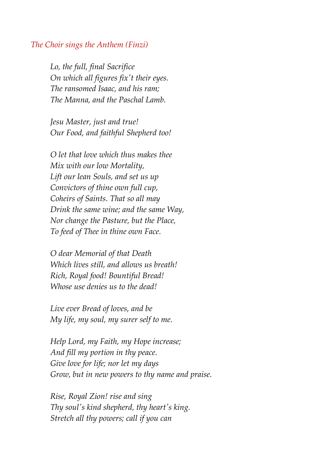#### *The Choir sings the Anthem (Finzi)*

*Lo, the full, final Sacrifice On which all figures fix't their eyes. The ransomed Isaac, and his ram; The Manna, and the Paschal Lamb.*

*Jesu Master, just and true! Our Food, and faithful Shepherd too!*

*O let that love which thus makes thee Mix with our low Mortality, Lift our lean Souls, and set us up Convictors of thine own full cup, Coheirs of Saints. That so all may Drink the same wine; and the same Way, Nor change the Pasture, but the Place, To feed of Thee in thine own Face.*

*O dear Memorial of that Death Which lives still, and allows us breath! Rich, Royal food! Bountiful Bread! Whose use denies us to the dead!*

*Live ever Bread of loves, and be My life, my soul, my surer self to me.*

*Help Lord, my Faith, my Hope increase; And fill my portion in thy peace. Give love for life; nor let my days Grow, but in new powers to thy name and praise.*

*Rise, Royal Zion! rise and sing Thy soul's kind shepherd, thy heart's king. Stretch all thy powers; call if you can*